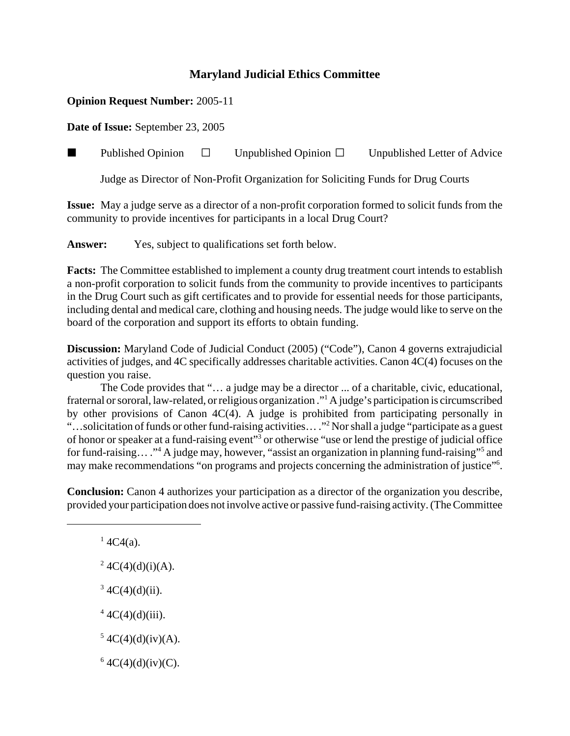## **Maryland Judicial Ethics Committee**

## **Opinion Request Number:** 2005-11

**Date of Issue:** September 23, 2005

**Published Opinion**  $\Box$  Unpublished Opinion  $\Box$  Unpublished Letter of Advice

Judge as Director of Non-Profit Organization for Soliciting Funds for Drug Courts

**Issue:** May a judge serve as a director of a non-profit corporation formed to solicit funds from the community to provide incentives for participants in a local Drug Court?

**Answer:** Yes, subject to qualifications set forth below.

**Facts:** The Committee established to implement a county drug treatment court intends to establish a non-profit corporation to solicit funds from the community to provide incentives to participants in the Drug Court such as gift certificates and to provide for essential needs for those participants, including dental and medical care, clothing and housing needs. The judge would like to serve on the board of the corporation and support its efforts to obtain funding.

**Discussion:** Maryland Code of Judicial Conduct (2005) ("Code"), Canon 4 governs extrajudicial activities of judges, and 4C specifically addresses charitable activities. Canon 4C(4) focuses on the question you raise.

The Code provides that "… a judge may be a director ... of a charitable, civic, educational, fraternal or sororal, law-related, or religious organization ."1 A judge's participation is circumscribed by other provisions of Canon 4C(4). A judge is prohibited from participating personally in "...solicitation of funds or other fund-raising activities... ."<sup>2</sup> Nor shall a judge "participate as a guest" of honor or speaker at a fund-raising event"<sup>3</sup> or otherwise "use or lend the prestige of judicial office for fund-raising... ."<sup>4</sup> A judge may, however, "assist an organization in planning fund-raising"<sup>5</sup> and may make recommendations "on programs and projects concerning the administration of justice"<sup>6</sup>.

**Conclusion:** Canon 4 authorizes your participation as a director of the organization you describe, provided your participation does not involve active or passive fund-raising activity. (The Committee

 $14C4(a)$ .

<sup>2</sup> 4C(4)(d)(i)(A).

 $3 \text{ } 4C(4)(d)(ii).$ 

 $4 \text{ } 4 \text{C}(4)$ (d)(iii).

 $5 \text{ } 4C(4)(d)(iv)(A).$ 

 $64C(4)(d)(iv)(C)$ .